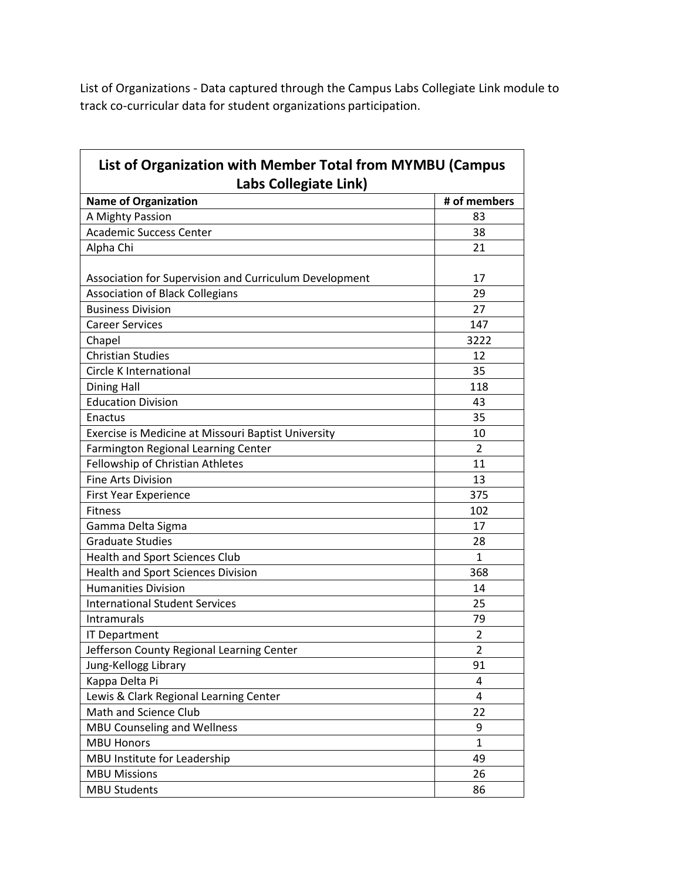List of Organizations - Data captured through the Campus Labs Collegiate Link module to track co-curricular data for student organizations participation.

| List of Organization with Member Total from MYMBU (Campus |                |
|-----------------------------------------------------------|----------------|
| Labs Collegiate Link)                                     |                |
| <b>Name of Organization</b>                               | # of members   |
| A Mighty Passion                                          | 83             |
| <b>Academic Success Center</b>                            | 38             |
| Alpha Chi                                                 | 21             |
| Association for Supervision and Curriculum Development    | 17             |
| <b>Association of Black Collegians</b>                    | 29             |
| <b>Business Division</b>                                  | 27             |
| <b>Career Services</b>                                    | 147            |
| Chapel                                                    | 3222           |
| <b>Christian Studies</b>                                  | 12             |
| Circle K International                                    | 35             |
| <b>Dining Hall</b>                                        | 118            |
| <b>Education Division</b>                                 | 43             |
| Enactus                                                   | 35             |
| Exercise is Medicine at Missouri Baptist University       | 10             |
| Farmington Regional Learning Center                       | $\overline{2}$ |
| Fellowship of Christian Athletes                          | 11             |
| <b>Fine Arts Division</b>                                 | 13             |
| <b>First Year Experience</b>                              | 375            |
| <b>Fitness</b>                                            | 102            |
| Gamma Delta Sigma                                         | 17             |
| <b>Graduate Studies</b>                                   | 28             |
| <b>Health and Sport Sciences Club</b>                     | 1              |
| <b>Health and Sport Sciences Division</b>                 | 368            |
| <b>Humanities Division</b>                                | 14             |
| <b>International Student Services</b>                     | 25             |
| Intramurals                                               | 79             |
| <b>IT Department</b>                                      | 2              |
| Jefferson County Regional Learning Center                 | $\overline{c}$ |
| Jung-Kellogg Library                                      | 91             |
| Kappa Delta Pi                                            | 4              |
| Lewis & Clark Regional Learning Center                    | 4              |
| Math and Science Club                                     | 22             |
| <b>MBU Counseling and Wellness</b>                        | 9              |
| <b>MBU Honors</b>                                         | 1              |
| MBU Institute for Leadership                              | 49             |
| <b>MBU Missions</b>                                       | 26             |
| <b>MBU Students</b>                                       | 86             |